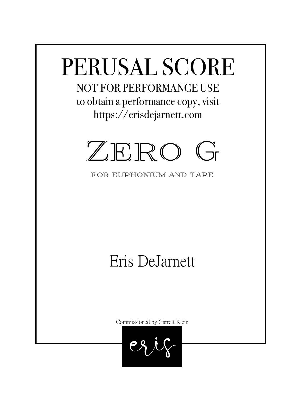# PERUSAL SCORE

NOT FOR PERFORMANCE USE to obtain a performance copy, visit https://erisdejarnett.com



for euphonium and tape

## Eris DeJarnett

Commissioned by Garrett Klein

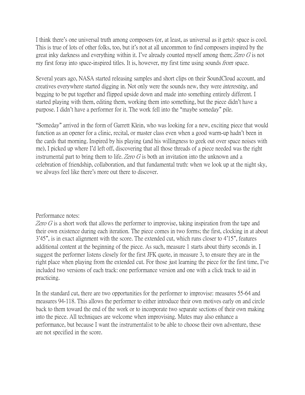I think there's one universal truth among composers (or, at least, as universal as it gets): space is cool. This is true of lots of other folks, too, but it's not at all uncommon to find composers inspired by the great inky darkness and everything within it. I've already counted myself among them; Zero G is not my first foray into space-inspired titles. It is, however, my first time using sounds *from* space.

Several years ago, NASA started releasing samples and short clips on their SoundCloud account, and creatives everywhere started digging in. Not only were the sounds new, they were *interesting*, and begging to be put together and flipped upside down and made into something entirely different. I started playing with them, editing them, working them into something, but the piece didn't have a purpose. I didn't have a performer for it. The work fell into the "maybe someday" pile.

"Someday" arrived in the form of Garrett Klein, who was looking for a new, exciting piece that would function as an opener for a clinic, recital, or master class even when a good warm-up hadn't been in the cards that morning. Inspired by his playing (and his willingness to geek out over space noises with me), I picked up where I'd left off, discovering that all those threads of a piece needed was the right instrumental part to bring them to life. Zero  $G$  is both an invitation into the unknown and a celebration of friendship, collaboration, and that fundamental truth: when we look up at the night sky, we always feel like there's more out there to discover.

#### Performance notes:

Zero G is a short work that allows the performer to improvise, taking inspiration from the tape and their own existence during each iteration. The piece comes in two forms; the first, clocking in at about 3'45", is in exact alignment with the score. The extended cut, which runs closer to 4'15", features additional content at the beginning of the piece. As such, measure 1 starts about thirty seconds in. I suggest the performer listens closely for the first JFK quote, in measure 3, to ensure they are in the right place when playing from the extended cut. For those just learning the piece for the first time, I've included two versions of each track: one performance version and one with a click track to aid in practicing.

In the standard cut, there are two opportunities for the performer to improvise: measures 55-64 and measures 94-118. This allows the performer to either introduce their own motives early on and circle back to them toward the end of the work or to incorporate two separate sections of their own making into the piece. All techniques are welcome when improvising. Mutes may also enhance a performance, but because I want the instrumentalist to be able to choose their own adventure, these are not specified in the score.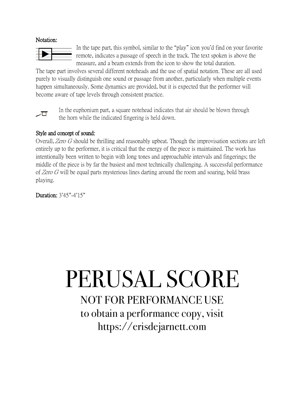#### Notation:



In the tape part, this symbol, similar to the "play" icon you'd find on your favorite remote, indicates a passage of speech in the track. The text spoken is above the measure, and a beam extends from the icon to show the total duration.

The tape part involves several different noteheads and the use of spatial notation. These are all used purely to visually distinguish one sound or passage from another, particularly when multiple events happen simultaneously. Some dynamics are provided, but it is expected that the performer will become aware of tape levels through consistent practice.



In the euphonium part, a square notehead indicates that air should be blown through the horn while the indicated fingering is held down.

#### Style and concept of sound:

Overall, Zero G should be thrilling and reasonably upbeat. Though the improvisation sections are left entirely up to the performer, it is critical that the energy of the piece is maintained. The work has intentionally been written to begin with long tones and approachable intervals and fingerings; the middle of the piece is by far the busiest and most technically challenging. A successful performance of Zero G will be equal parts mysterious lines darting around the room and soaring, bold brass playing.

Duration: 3'45"-4'15"

### PERUSAL SCORE NOT FOR PERFORMANCE USE to obtain a performance copy, visit https://erisdejarnett.com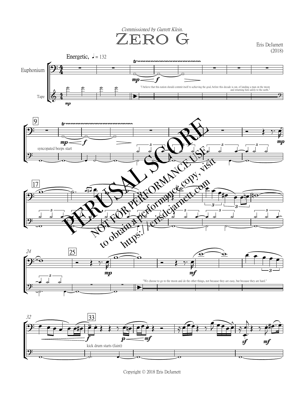Commissioned by Garrett Klein.

 $\mathbb{Z} \mathbb{E} \mathbb{R} \mathbb{O}$  Graphen Eris DeJamett (2018)

Eris DeJarnett





Copyright © 2018 Eris DeJarnett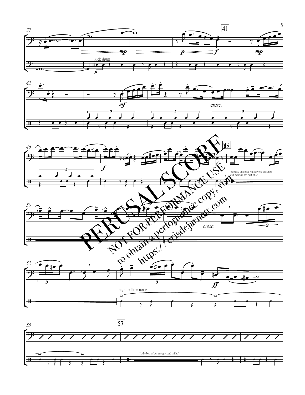









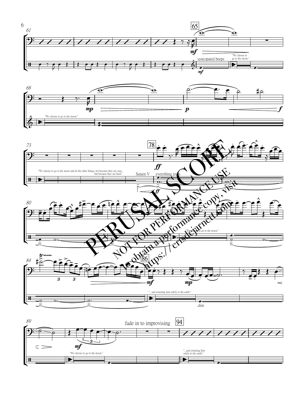





![](_page_5_Figure_3.jpeg)